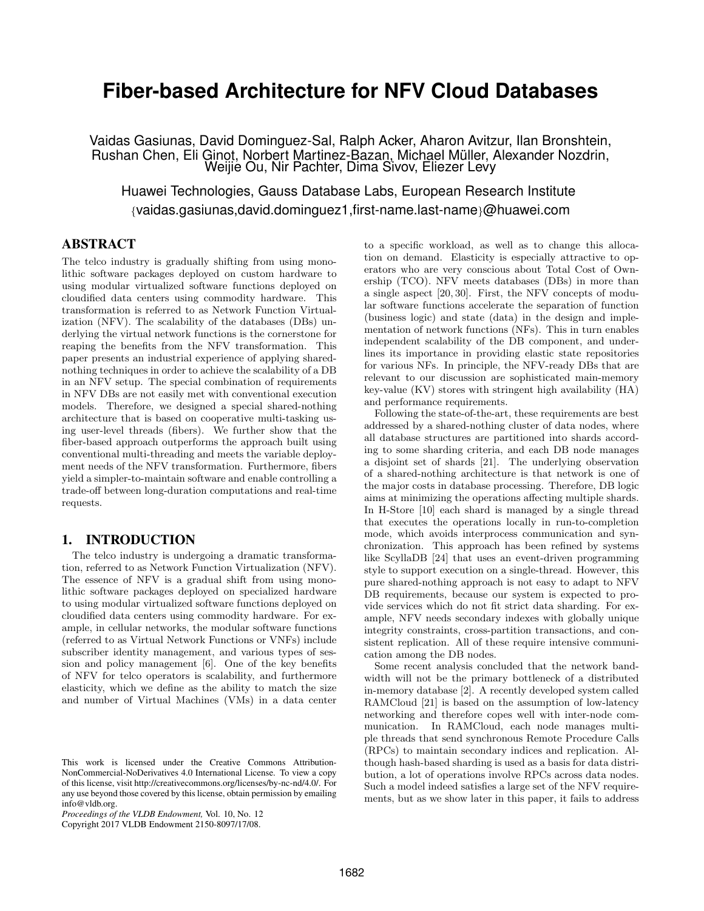# **Fiber-based Architecture for NFV Cloud Databases**

Vaidas Gasiunas, David Dominguez-Sal, Ralph Acker, Aharon Avitzur, Ilan Bronshtein, Rushan Chen, Eli Ginot, Norbert Martinez-Bazan, Michael Muller, Alexander Nozdrin, ¨ Weijie Ou, Nir Pachter, Dima Sivov, Eliezer Levy

Huawei Technologies, Gauss Database Labs, European Research Institute {vaidas.gasiunas,david.dominguez1,first-name.last-name}@huawei.com

# ABSTRACT

The telco industry is gradually shifting from using monolithic software packages deployed on custom hardware to using modular virtualized software functions deployed on cloudified data centers using commodity hardware. This transformation is referred to as Network Function Virtualization (NFV). The scalability of the databases (DBs) underlying the virtual network functions is the cornerstone for reaping the benefits from the NFV transformation. This paper presents an industrial experience of applying sharednothing techniques in order to achieve the scalability of a DB in an NFV setup. The special combination of requirements in NFV DBs are not easily met with conventional execution models. Therefore, we designed a special shared-nothing architecture that is based on cooperative multi-tasking using user-level threads (fibers). We further show that the fiber-based approach outperforms the approach built using conventional multi-threading and meets the variable deployment needs of the NFV transformation. Furthermore, fibers yield a simpler-to-maintain software and enable controlling a trade-off between long-duration computations and real-time requests.

## 1. INTRODUCTION

The telco industry is undergoing a dramatic transformation, referred to as Network Function Virtualization (NFV). The essence of NFV is a gradual shift from using monolithic software packages deployed on specialized hardware to using modular virtualized software functions deployed on cloudified data centers using commodity hardware. For example, in cellular networks, the modular software functions (referred to as Virtual Network Functions or VNFs) include subscriber identity management, and various types of session and policy management [6]. One of the key benefits of NFV for telco operators is scalability, and furthermore elasticity, which we define as the ability to match the size and number of Virtual Machines (VMs) in a data center to a specific workload, as well as to change this allocation on demand. Elasticity is especially attractive to operators who are very conscious about Total Cost of Ownership (TCO). NFV meets databases (DBs) in more than a single aspect [20, 30]. First, the NFV concepts of modular software functions accelerate the separation of function (business logic) and state (data) in the design and implementation of network functions (NFs). This in turn enables independent scalability of the DB component, and underlines its importance in providing elastic state repositories for various NFs. In principle, the NFV-ready DBs that are relevant to our discussion are sophisticated main-memory key-value (KV) stores with stringent high availability (HA) and performance requirements.

Following the state-of-the-art, these requirements are best addressed by a shared-nothing cluster of data nodes, where all database structures are partitioned into shards according to some sharding criteria, and each DB node manages a disjoint set of shards [21]. The underlying observation of a shared-nothing architecture is that network is one of the major costs in database processing. Therefore, DB logic aims at minimizing the operations affecting multiple shards. In H-Store [10] each shard is managed by a single thread that executes the operations locally in run-to-completion mode, which avoids interprocess communication and synchronization. This approach has been refined by systems like ScyllaDB [24] that uses an event-driven programming style to support execution on a single-thread. However, this pure shared-nothing approach is not easy to adapt to NFV DB requirements, because our system is expected to provide services which do not fit strict data sharding. For example, NFV needs secondary indexes with globally unique integrity constraints, cross-partition transactions, and consistent replication. All of these require intensive communication among the DB nodes.

Some recent analysis concluded that the network bandwidth will not be the primary bottleneck of a distributed in-memory database [2]. A recently developed system called RAMCloud [21] is based on the assumption of low-latency networking and therefore copes well with inter-node communication. In RAMCloud, each node manages multiple threads that send synchronous Remote Procedure Calls (RPCs) to maintain secondary indices and replication. Although hash-based sharding is used as a basis for data distribution, a lot of operations involve RPCs across data nodes. Such a model indeed satisfies a large set of the NFV requirements, but as we show later in this paper, it fails to address

This work is licensed under the Creative Commons Attribution-NonCommercial-NoDerivatives 4.0 International License. To view a copy of this license, visit http://creativecommons.org/licenses/by-nc-nd/4.0/. For any use beyond those covered by this license, obtain permission by emailing info@vldb.org.

*Proceedings of the VLDB Endowment,* Vol. 10, No. 12

Copyright 2017 VLDB Endowment 2150-8097/17/08.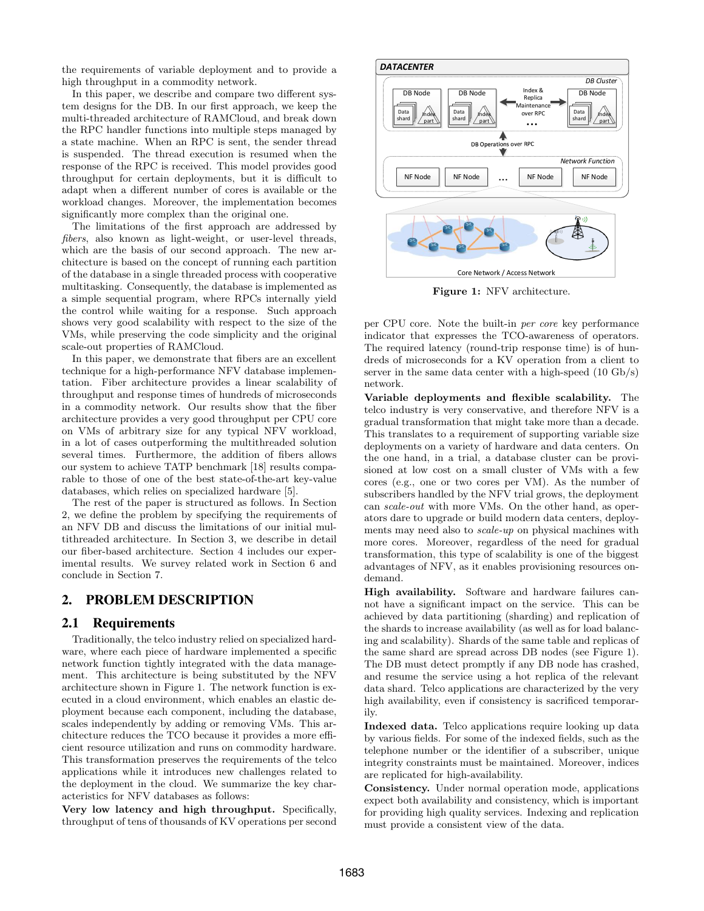the requirements of variable deployment and to provide a high throughput in a commodity network.

In this paper, we describe and compare two different system designs for the DB. In our first approach, we keep the multi-threaded architecture of RAMCloud, and break down the RPC handler functions into multiple steps managed by a state machine. When an RPC is sent, the sender thread is suspended. The thread execution is resumed when the response of the RPC is received. This model provides good throughput for certain deployments, but it is difficult to adapt when a different number of cores is available or the workload changes. Moreover, the implementation becomes significantly more complex than the original one.

The limitations of the first approach are addressed by fibers, also known as light-weight, or user-level threads, which are the basis of our second approach. The new architecture is based on the concept of running each partition of the database in a single threaded process with cooperative multitasking. Consequently, the database is implemented as a simple sequential program, where RPCs internally yield the control while waiting for a response. Such approach shows very good scalability with respect to the size of the VMs, while preserving the code simplicity and the original scale-out properties of RAMCloud.

In this paper, we demonstrate that fibers are an excellent technique for a high-performance NFV database implementation. Fiber architecture provides a linear scalability of throughput and response times of hundreds of microseconds in a commodity network. Our results show that the fiber architecture provides a very good throughput per CPU core on VMs of arbitrary size for any typical NFV workload, in a lot of cases outperforming the multithreaded solution several times. Furthermore, the addition of fibers allows our system to achieve TATP benchmark [18] results comparable to those of one of the best state-of-the-art key-value databases, which relies on specialized hardware [5].

The rest of the paper is structured as follows. In Section 2, we define the problem by specifying the requirements of an NFV DB and discuss the limitations of our initial multithreaded architecture. In Section 3, we describe in detail our fiber-based architecture. Section 4 includes our experimental results. We survey related work in Section 6 and conclude in Section 7.

## 2. PROBLEM DESCRIPTION

#### 2.1 Requirements

Traditionally, the telco industry relied on specialized hardware, where each piece of hardware implemented a specific network function tightly integrated with the data management. This architecture is being substituted by the NFV architecture shown in Figure 1. The network function is executed in a cloud environment, which enables an elastic deployment because each component, including the database, scales independently by adding or removing VMs. This architecture reduces the TCO because it provides a more efficient resource utilization and runs on commodity hardware. This transformation preserves the requirements of the telco applications while it introduces new challenges related to the deployment in the cloud. We summarize the key characteristics for NFV databases as follows:

Very low latency and high throughput. Specifically, throughput of tens of thousands of KV operations per second



Figure 1: NFV architecture.

per CPU core. Note the built-in per core key performance indicator that expresses the TCO-awareness of operators. The required latency (round-trip response time) is of hundreds of microseconds for a KV operation from a client to server in the same data center with a high-speed (10 Gb/s) network.

Variable deployments and flexible scalability. The telco industry is very conservative, and therefore NFV is a gradual transformation that might take more than a decade. This translates to a requirement of supporting variable size deployments on a variety of hardware and data centers. On the one hand, in a trial, a database cluster can be provisioned at low cost on a small cluster of VMs with a few cores (e.g., one or two cores per VM). As the number of subscribers handled by the NFV trial grows, the deployment can scale-out with more VMs. On the other hand, as operators dare to upgrade or build modern data centers, deployments may need also to scale-up on physical machines with more cores. Moreover, regardless of the need for gradual transformation, this type of scalability is one of the biggest advantages of NFV, as it enables provisioning resources ondemand.

High availability. Software and hardware failures cannot have a significant impact on the service. This can be achieved by data partitioning (sharding) and replication of the shards to increase availability (as well as for load balancing and scalability). Shards of the same table and replicas of the same shard are spread across DB nodes (see Figure 1). The DB must detect promptly if any DB node has crashed, and resume the service using a hot replica of the relevant data shard. Telco applications are characterized by the very high availability, even if consistency is sacrificed temporarily.

Indexed data. Telco applications require looking up data by various fields. For some of the indexed fields, such as the telephone number or the identifier of a subscriber, unique integrity constraints must be maintained. Moreover, indices are replicated for high-availability.

Consistency. Under normal operation mode, applications expect both availability and consistency, which is important for providing high quality services. Indexing and replication must provide a consistent view of the data.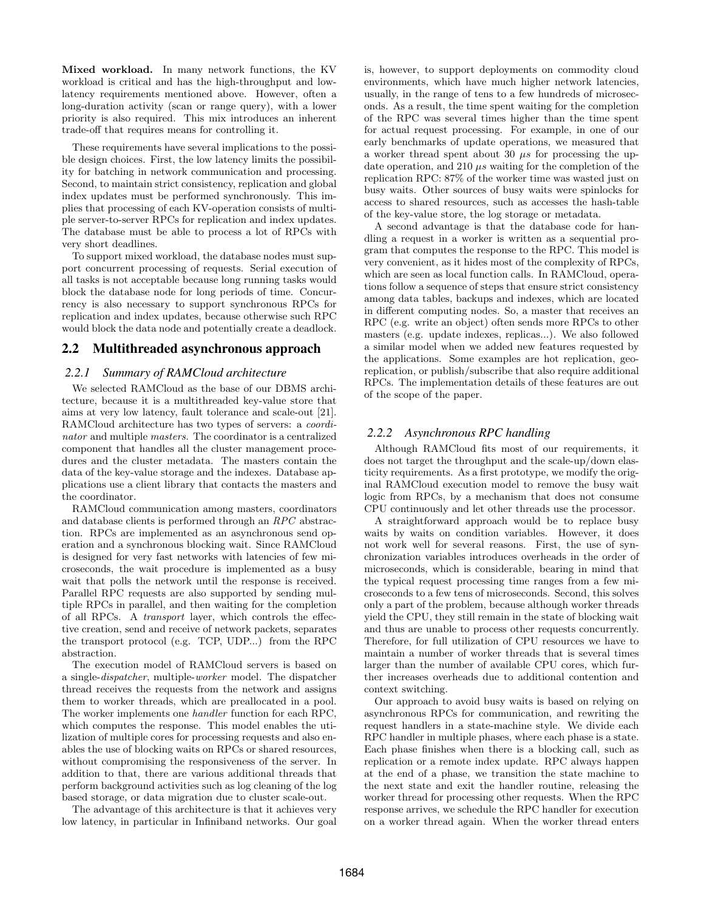Mixed workload. In many network functions, the KV workload is critical and has the high-throughput and lowlatency requirements mentioned above. However, often a long-duration activity (scan or range query), with a lower priority is also required. This mix introduces an inherent trade-off that requires means for controlling it.

These requirements have several implications to the possible design choices. First, the low latency limits the possibility for batching in network communication and processing. Second, to maintain strict consistency, replication and global index updates must be performed synchronously. This implies that processing of each KV-operation consists of multiple server-to-server RPCs for replication and index updates. The database must be able to process a lot of RPCs with very short deadlines.

To support mixed workload, the database nodes must support concurrent processing of requests. Serial execution of all tasks is not acceptable because long running tasks would block the database node for long periods of time. Concurrency is also necessary to support synchronous RPCs for replication and index updates, because otherwise such RPC would block the data node and potentially create a deadlock.

# 2.2 Multithreaded asynchronous approach

#### *2.2.1 Summary of RAMCloud architecture*

We selected RAMCloud as the base of our DBMS architecture, because it is a multithreaded key-value store that aims at very low latency, fault tolerance and scale-out [21]. RAMCloud architecture has two types of servers: a coordinator and multiple masters. The coordinator is a centralized component that handles all the cluster management procedures and the cluster metadata. The masters contain the data of the key-value storage and the indexes. Database applications use a client library that contacts the masters and the coordinator.

RAMCloud communication among masters, coordinators and database clients is performed through an RPC abstraction. RPCs are implemented as an asynchronous send operation and a synchronous blocking wait. Since RAMCloud is designed for very fast networks with latencies of few microseconds, the wait procedure is implemented as a busy wait that polls the network until the response is received. Parallel RPC requests are also supported by sending multiple RPCs in parallel, and then waiting for the completion of all RPCs. A transport layer, which controls the effective creation, send and receive of network packets, separates the transport protocol (e.g. TCP, UDP...) from the RPC abstraction.

The execution model of RAMCloud servers is based on a single-dispatcher, multiple-worker model. The dispatcher thread receives the requests from the network and assigns them to worker threads, which are preallocated in a pool. The worker implements one handler function for each RPC, which computes the response. This model enables the utilization of multiple cores for processing requests and also enables the use of blocking waits on RPCs or shared resources, without compromising the responsiveness of the server. In addition to that, there are various additional threads that perform background activities such as log cleaning of the log based storage, or data migration due to cluster scale-out.

The advantage of this architecture is that it achieves very low latency, in particular in Infiniband networks. Our goal is, however, to support deployments on commodity cloud environments, which have much higher network latencies, usually, in the range of tens to a few hundreds of microseconds. As a result, the time spent waiting for the completion of the RPC was several times higher than the time spent for actual request processing. For example, in one of our early benchmarks of update operations, we measured that a worker thread spent about 30  $\mu s$  for processing the update operation, and 210  $\mu s$  waiting for the completion of the replication RPC: 87% of the worker time was wasted just on busy waits. Other sources of busy waits were spinlocks for access to shared resources, such as accesses the hash-table of the key-value store, the log storage or metadata.

A second advantage is that the database code for handling a request in a worker is written as a sequential program that computes the response to the RPC. This model is very convenient, as it hides most of the complexity of RPCs, which are seen as local function calls. In RAMCloud, operations follow a sequence of steps that ensure strict consistency among data tables, backups and indexes, which are located in different computing nodes. So, a master that receives an RPC (e.g. write an object) often sends more RPCs to other masters (e.g. update indexes, replicas...). We also followed a similar model when we added new features requested by the applications. Some examples are hot replication, georeplication, or publish/subscribe that also require additional RPCs. The implementation details of these features are out of the scope of the paper.

#### *2.2.2 Asynchronous RPC handling*

Although RAMCloud fits most of our requirements, it does not target the throughput and the scale-up/down elasticity requirements. As a first prototype, we modify the original RAMCloud execution model to remove the busy wait logic from RPCs, by a mechanism that does not consume CPU continuously and let other threads use the processor.

A straightforward approach would be to replace busy waits by waits on condition variables. However, it does not work well for several reasons. First, the use of synchronization variables introduces overheads in the order of microseconds, which is considerable, bearing in mind that the typical request processing time ranges from a few microseconds to a few tens of microseconds. Second, this solves only a part of the problem, because although worker threads yield the CPU, they still remain in the state of blocking wait and thus are unable to process other requests concurrently. Therefore, for full utilization of CPU resources we have to maintain a number of worker threads that is several times larger than the number of available CPU cores, which further increases overheads due to additional contention and context switching.

Our approach to avoid busy waits is based on relying on asynchronous RPCs for communication, and rewriting the request handlers in a state-machine style. We divide each RPC handler in multiple phases, where each phase is a state. Each phase finishes when there is a blocking call, such as replication or a remote index update. RPC always happen at the end of a phase, we transition the state machine to the next state and exit the handler routine, releasing the worker thread for processing other requests. When the RPC response arrives, we schedule the RPC handler for execution on a worker thread again. When the worker thread enters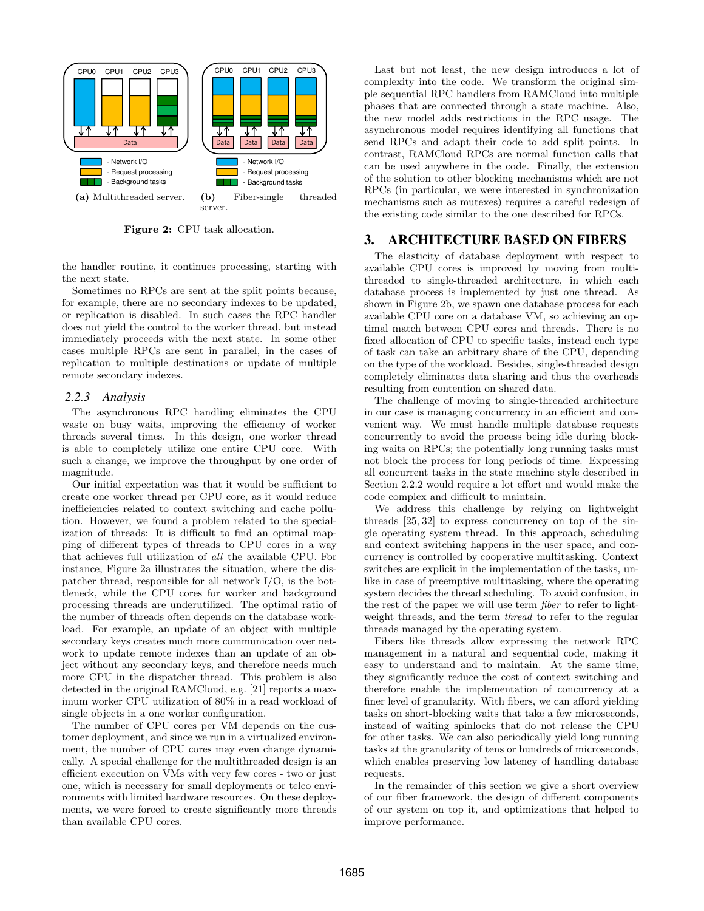

Figure 2: CPU task allocation.

the handler routine, it continues processing, starting with the next state.

Sometimes no RPCs are sent at the split points because, for example, there are no secondary indexes to be updated, or replication is disabled. In such cases the RPC handler does not yield the control to the worker thread, but instead immediately proceeds with the next state. In some other cases multiple RPCs are sent in parallel, in the cases of replication to multiple destinations or update of multiple remote secondary indexes.

#### *2.2.3 Analysis*

The asynchronous RPC handling eliminates the CPU waste on busy waits, improving the efficiency of worker threads several times. In this design, one worker thread is able to completely utilize one entire CPU core. With such a change, we improve the throughput by one order of magnitude.

Our initial expectation was that it would be sufficient to create one worker thread per CPU core, as it would reduce inefficiencies related to context switching and cache pollution. However, we found a problem related to the specialization of threads: It is difficult to find an optimal mapping of different types of threads to CPU cores in a way that achieves full utilization of all the available CPU. For instance, Figure 2a illustrates the situation, where the dispatcher thread, responsible for all network I/O, is the bottleneck, while the CPU cores for worker and background processing threads are underutilized. The optimal ratio of the number of threads often depends on the database workload. For example, an update of an object with multiple secondary keys creates much more communication over network to update remote indexes than an update of an object without any secondary keys, and therefore needs much more CPU in the dispatcher thread. This problem is also detected in the original RAMCloud, e.g. [21] reports a maximum worker CPU utilization of 80% in a read workload of single objects in a one worker configuration.

The number of CPU cores per VM depends on the customer deployment, and since we run in a virtualized environment, the number of CPU cores may even change dynamically. A special challenge for the multithreaded design is an efficient execution on VMs with very few cores - two or just one, which is necessary for small deployments or telco environments with limited hardware resources. On these deployments, we were forced to create significantly more threads than available CPU cores.

Last but not least, the new design introduces a lot of complexity into the code. We transform the original simple sequential RPC handlers from RAMCloud into multiple phases that are connected through a state machine. Also, the new model adds restrictions in the RPC usage. The asynchronous model requires identifying all functions that send RPCs and adapt their code to add split points. In contrast, RAMCloud RPCs are normal function calls that can be used anywhere in the code. Finally, the extension of the solution to other blocking mechanisms which are not RPCs (in particular, we were interested in synchronization mechanisms such as mutexes) requires a careful redesign of the existing code similar to the one described for RPCs.

## 3. ARCHITECTURE BASED ON FIBERS

The elasticity of database deployment with respect to available CPU cores is improved by moving from multithreaded to single-threaded architecture, in which each database process is implemented by just one thread. As shown in Figure 2b, we spawn one database process for each available CPU core on a database VM, so achieving an optimal match between CPU cores and threads. There is no fixed allocation of CPU to specific tasks, instead each type of task can take an arbitrary share of the CPU, depending on the type of the workload. Besides, single-threaded design completely eliminates data sharing and thus the overheads resulting from contention on shared data.

The challenge of moving to single-threaded architecture in our case is managing concurrency in an efficient and convenient way. We must handle multiple database requests concurrently to avoid the process being idle during blocking waits on RPCs; the potentially long running tasks must not block the process for long periods of time. Expressing all concurrent tasks in the state machine style described in Section 2.2.2 would require a lot effort and would make the code complex and difficult to maintain.

We address this challenge by relying on lightweight threads [25, 32] to express concurrency on top of the single operating system thread. In this approach, scheduling and context switching happens in the user space, and concurrency is controlled by cooperative multitasking. Context switches are explicit in the implementation of the tasks, unlike in case of preemptive multitasking, where the operating system decides the thread scheduling. To avoid confusion, in the rest of the paper we will use term fiber to refer to lightweight threads, and the term thread to refer to the regular threads managed by the operating system.

Fibers like threads allow expressing the network RPC management in a natural and sequential code, making it easy to understand and to maintain. At the same time, they significantly reduce the cost of context switching and therefore enable the implementation of concurrency at a finer level of granularity. With fibers, we can afford yielding tasks on short-blocking waits that take a few microseconds, instead of waiting spinlocks that do not release the CPU for other tasks. We can also periodically yield long running tasks at the granularity of tens or hundreds of microseconds, which enables preserving low latency of handling database requests.

In the remainder of this section we give a short overview of our fiber framework, the design of different components of our system on top it, and optimizations that helped to improve performance.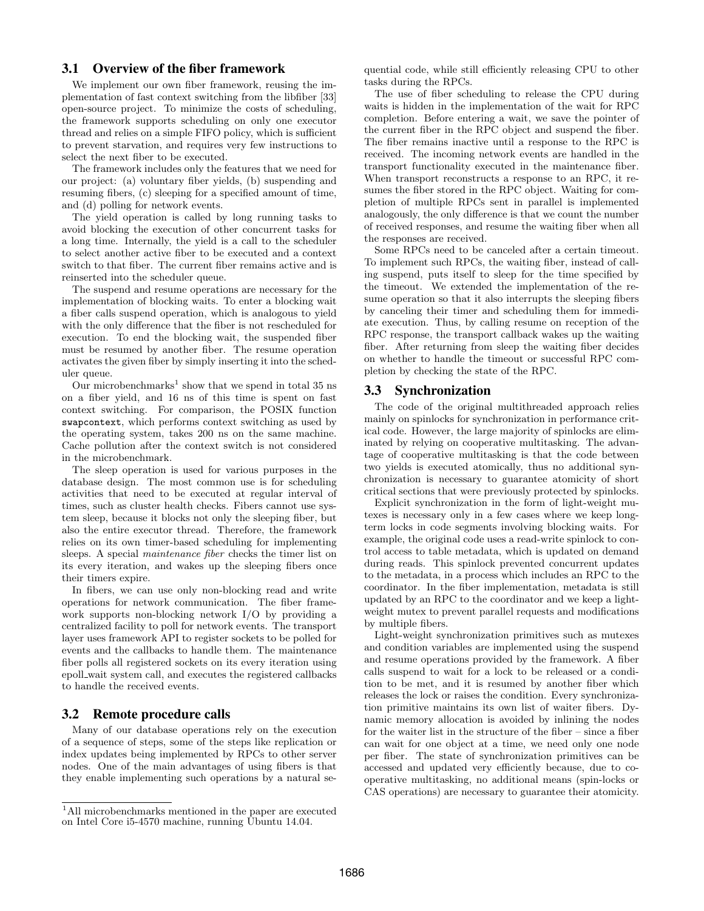## 3.1 Overview of the fiber framework

We implement our own fiber framework, reusing the implementation of fast context switching from the libfiber [33] open-source project. To minimize the costs of scheduling, the framework supports scheduling on only one executor thread and relies on a simple FIFO policy, which is sufficient to prevent starvation, and requires very few instructions to select the next fiber to be executed.

The framework includes only the features that we need for our project: (a) voluntary fiber yields, (b) suspending and resuming fibers, (c) sleeping for a specified amount of time, and (d) polling for network events.

The yield operation is called by long running tasks to avoid blocking the execution of other concurrent tasks for a long time. Internally, the yield is a call to the scheduler to select another active fiber to be executed and a context switch to that fiber. The current fiber remains active and is reinserted into the scheduler queue.

The suspend and resume operations are necessary for the implementation of blocking waits. To enter a blocking wait a fiber calls suspend operation, which is analogous to yield with the only difference that the fiber is not rescheduled for execution. To end the blocking wait, the suspended fiber must be resumed by another fiber. The resume operation activates the given fiber by simply inserting it into the scheduler queue.

Our microbenchmarks<sup>1</sup> show that we spend in total 35 ns on a fiber yield, and 16 ns of this time is spent on fast context switching. For comparison, the POSIX function swapcontext, which performs context switching as used by the operating system, takes 200 ns on the same machine. Cache pollution after the context switch is not considered in the microbenchmark.

The sleep operation is used for various purposes in the database design. The most common use is for scheduling activities that need to be executed at regular interval of times, such as cluster health checks. Fibers cannot use system sleep, because it blocks not only the sleeping fiber, but also the entire executor thread. Therefore, the framework relies on its own timer-based scheduling for implementing sleeps. A special maintenance fiber checks the timer list on its every iteration, and wakes up the sleeping fibers once their timers expire.

In fibers, we can use only non-blocking read and write operations for network communication. The fiber framework supports non-blocking network I/O by providing a centralized facility to poll for network events. The transport layer uses framework API to register sockets to be polled for events and the callbacks to handle them. The maintenance fiber polls all registered sockets on its every iteration using epoll wait system call, and executes the registered callbacks to handle the received events.

# 3.2 Remote procedure calls

Many of our database operations rely on the execution of a sequence of steps, some of the steps like replication or index updates being implemented by RPCs to other server nodes. One of the main advantages of using fibers is that they enable implementing such operations by a natural sequential code, while still efficiently releasing CPU to other tasks during the RPCs.

The use of fiber scheduling to release the CPU during waits is hidden in the implementation of the wait for RPC completion. Before entering a wait, we save the pointer of the current fiber in the RPC object and suspend the fiber. The fiber remains inactive until a response to the RPC is received. The incoming network events are handled in the transport functionality executed in the maintenance fiber. When transport reconstructs a response to an RPC, it resumes the fiber stored in the RPC object. Waiting for completion of multiple RPCs sent in parallel is implemented analogously, the only difference is that we count the number of received responses, and resume the waiting fiber when all the responses are received.

Some RPCs need to be canceled after a certain timeout. To implement such RPCs, the waiting fiber, instead of calling suspend, puts itself to sleep for the time specified by the timeout. We extended the implementation of the resume operation so that it also interrupts the sleeping fibers by canceling their timer and scheduling them for immediate execution. Thus, by calling resume on reception of the RPC response, the transport callback wakes up the waiting fiber. After returning from sleep the waiting fiber decides on whether to handle the timeout or successful RPC completion by checking the state of the RPC.

## 3.3 Synchronization

The code of the original multithreaded approach relies mainly on spinlocks for synchronization in performance critical code. However, the large majority of spinlocks are eliminated by relying on cooperative multitasking. The advantage of cooperative multitasking is that the code between two yields is executed atomically, thus no additional synchronization is necessary to guarantee atomicity of short critical sections that were previously protected by spinlocks.

Explicit synchronization in the form of light-weight mutexes is necessary only in a few cases where we keep longterm locks in code segments involving blocking waits. For example, the original code uses a read-write spinlock to control access to table metadata, which is updated on demand during reads. This spinlock prevented concurrent updates to the metadata, in a process which includes an RPC to the coordinator. In the fiber implementation, metadata is still updated by an RPC to the coordinator and we keep a lightweight mutex to prevent parallel requests and modifications by multiple fibers.

Light-weight synchronization primitives such as mutexes and condition variables are implemented using the suspend and resume operations provided by the framework. A fiber calls suspend to wait for a lock to be released or a condition to be met, and it is resumed by another fiber which releases the lock or raises the condition. Every synchronization primitive maintains its own list of waiter fibers. Dynamic memory allocation is avoided by inlining the nodes for the waiter list in the structure of the fiber – since a fiber can wait for one object at a time, we need only one node per fiber. The state of synchronization primitives can be accessed and updated very efficiently because, due to cooperative multitasking, no additional means (spin-locks or CAS operations) are necessary to guarantee their atomicity.

<sup>&</sup>lt;sup>1</sup>All microbenchmarks mentioned in the paper are executed on Intel Core i5-4570 machine, running Ubuntu 14.04.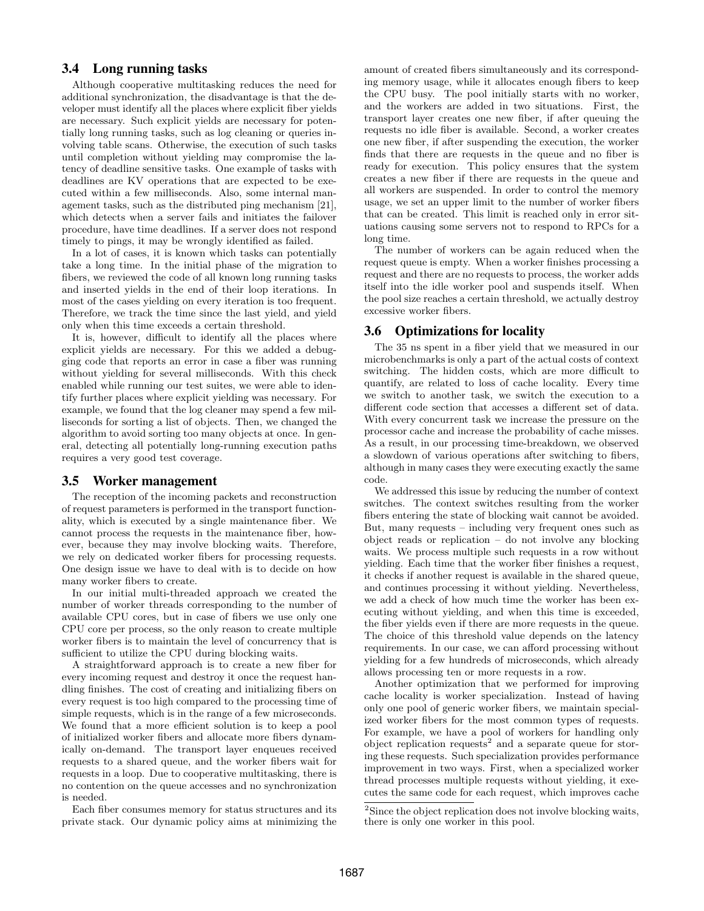# 3.4 Long running tasks

Although cooperative multitasking reduces the need for additional synchronization, the disadvantage is that the developer must identify all the places where explicit fiber yields are necessary. Such explicit yields are necessary for potentially long running tasks, such as log cleaning or queries involving table scans. Otherwise, the execution of such tasks until completion without yielding may compromise the latency of deadline sensitive tasks. One example of tasks with deadlines are KV operations that are expected to be executed within a few milliseconds. Also, some internal management tasks, such as the distributed ping mechanism [21], which detects when a server fails and initiates the failover procedure, have time deadlines. If a server does not respond timely to pings, it may be wrongly identified as failed.

In a lot of cases, it is known which tasks can potentially take a long time. In the initial phase of the migration to fibers, we reviewed the code of all known long running tasks and inserted yields in the end of their loop iterations. In most of the cases yielding on every iteration is too frequent. Therefore, we track the time since the last yield, and yield only when this time exceeds a certain threshold.

It is, however, difficult to identify all the places where explicit yields are necessary. For this we added a debugging code that reports an error in case a fiber was running without yielding for several milliseconds. With this check enabled while running our test suites, we were able to identify further places where explicit yielding was necessary. For example, we found that the log cleaner may spend a few milliseconds for sorting a list of objects. Then, we changed the algorithm to avoid sorting too many objects at once. In general, detecting all potentially long-running execution paths requires a very good test coverage.

#### 3.5 Worker management

The reception of the incoming packets and reconstruction of request parameters is performed in the transport functionality, which is executed by a single maintenance fiber. We cannot process the requests in the maintenance fiber, however, because they may involve blocking waits. Therefore, we rely on dedicated worker fibers for processing requests. One design issue we have to deal with is to decide on how many worker fibers to create.

In our initial multi-threaded approach we created the number of worker threads corresponding to the number of available CPU cores, but in case of fibers we use only one CPU core per process, so the only reason to create multiple worker fibers is to maintain the level of concurrency that is sufficient to utilize the CPU during blocking waits.

A straightforward approach is to create a new fiber for every incoming request and destroy it once the request handling finishes. The cost of creating and initializing fibers on every request is too high compared to the processing time of simple requests, which is in the range of a few microseconds. We found that a more efficient solution is to keep a pool of initialized worker fibers and allocate more fibers dynamically on-demand. The transport layer enqueues received requests to a shared queue, and the worker fibers wait for requests in a loop. Due to cooperative multitasking, there is no contention on the queue accesses and no synchronization is needed.

Each fiber consumes memory for status structures and its private stack. Our dynamic policy aims at minimizing the amount of created fibers simultaneously and its corresponding memory usage, while it allocates enough fibers to keep the CPU busy. The pool initially starts with no worker, and the workers are added in two situations. First, the transport layer creates one new fiber, if after queuing the requests no idle fiber is available. Second, a worker creates one new fiber, if after suspending the execution, the worker finds that there are requests in the queue and no fiber is ready for execution. This policy ensures that the system creates a new fiber if there are requests in the queue and all workers are suspended. In order to control the memory usage, we set an upper limit to the number of worker fibers that can be created. This limit is reached only in error situations causing some servers not to respond to RPCs for a long time.

The number of workers can be again reduced when the request queue is empty. When a worker finishes processing a request and there are no requests to process, the worker adds itself into the idle worker pool and suspends itself. When the pool size reaches a certain threshold, we actually destroy excessive worker fibers.

## 3.6 Optimizations for locality

The 35 ns spent in a fiber yield that we measured in our microbenchmarks is only a part of the actual costs of context switching. The hidden costs, which are more difficult to quantify, are related to loss of cache locality. Every time we switch to another task, we switch the execution to a different code section that accesses a different set of data. With every concurrent task we increase the pressure on the processor cache and increase the probability of cache misses. As a result, in our processing time-breakdown, we observed a slowdown of various operations after switching to fibers, although in many cases they were executing exactly the same code.

We addressed this issue by reducing the number of context switches. The context switches resulting from the worker fibers entering the state of blocking wait cannot be avoided. But, many requests – including very frequent ones such as object reads or replication – do not involve any blocking waits. We process multiple such requests in a row without yielding. Each time that the worker fiber finishes a request, it checks if another request is available in the shared queue, and continues processing it without yielding. Nevertheless, we add a check of how much time the worker has been executing without yielding, and when this time is exceeded, the fiber yields even if there are more requests in the queue. The choice of this threshold value depends on the latency requirements. In our case, we can afford processing without yielding for a few hundreds of microseconds, which already allows processing ten or more requests in a row.

Another optimization that we performed for improving cache locality is worker specialization. Instead of having only one pool of generic worker fibers, we maintain specialized worker fibers for the most common types of requests. For example, we have a pool of workers for handling only object replication requests<sup>2</sup> and a separate queue for storing these requests. Such specialization provides performance improvement in two ways. First, when a specialized worker thread processes multiple requests without yielding, it executes the same code for each request, which improves cache

<sup>&</sup>lt;sup>2</sup>Since the object replication does not involve blocking waits, there is only one worker in this pool.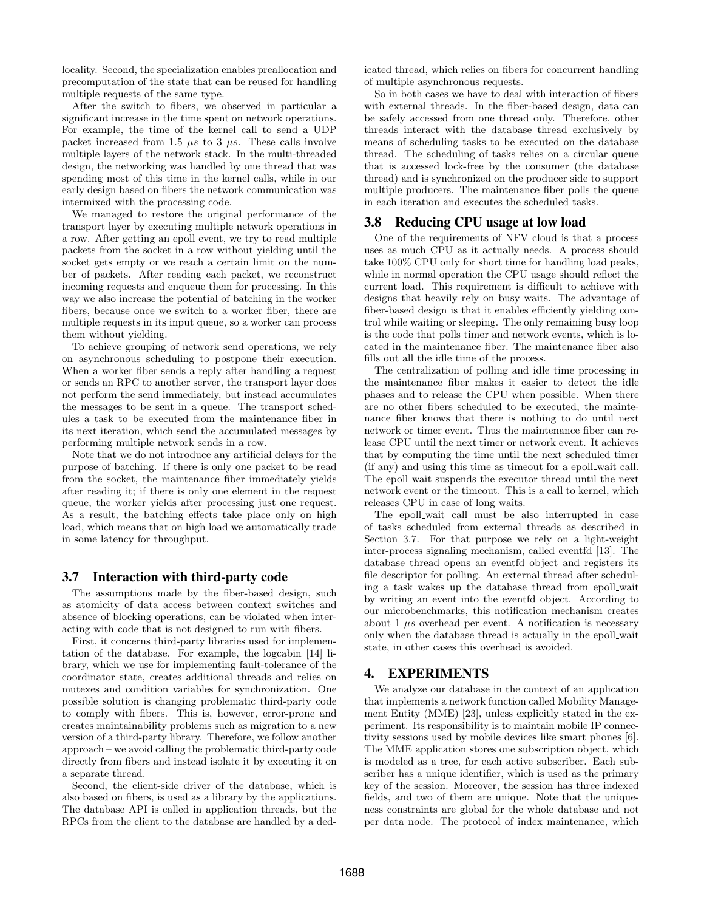locality. Second, the specialization enables preallocation and precomputation of the state that can be reused for handling multiple requests of the same type.

After the switch to fibers, we observed in particular a significant increase in the time spent on network operations. For example, the time of the kernel call to send a UDP packet increased from 1.5  $\mu s$  to 3  $\mu s$ . These calls involve multiple layers of the network stack. In the multi-threaded design, the networking was handled by one thread that was spending most of this time in the kernel calls, while in our early design based on fibers the network communication was intermixed with the processing code.

We managed to restore the original performance of the transport layer by executing multiple network operations in a row. After getting an epoll event, we try to read multiple packets from the socket in a row without yielding until the socket gets empty or we reach a certain limit on the number of packets. After reading each packet, we reconstruct incoming requests and enqueue them for processing. In this way we also increase the potential of batching in the worker fibers, because once we switch to a worker fiber, there are multiple requests in its input queue, so a worker can process them without yielding.

To achieve grouping of network send operations, we rely on asynchronous scheduling to postpone their execution. When a worker fiber sends a reply after handling a request or sends an RPC to another server, the transport layer does not perform the send immediately, but instead accumulates the messages to be sent in a queue. The transport schedules a task to be executed from the maintenance fiber in its next iteration, which send the accumulated messages by performing multiple network sends in a row.

Note that we do not introduce any artificial delays for the purpose of batching. If there is only one packet to be read from the socket, the maintenance fiber immediately yields after reading it; if there is only one element in the request queue, the worker yields after processing just one request. As a result, the batching effects take place only on high load, which means that on high load we automatically trade in some latency for throughput.

### 3.7 Interaction with third-party code

The assumptions made by the fiber-based design, such as atomicity of data access between context switches and absence of blocking operations, can be violated when interacting with code that is not designed to run with fibers.

First, it concerns third-party libraries used for implementation of the database. For example, the logcabin [14] library, which we use for implementing fault-tolerance of the coordinator state, creates additional threads and relies on mutexes and condition variables for synchronization. One possible solution is changing problematic third-party code to comply with fibers. This is, however, error-prone and creates maintainability problems such as migration to a new version of a third-party library. Therefore, we follow another approach – we avoid calling the problematic third-party code directly from fibers and instead isolate it by executing it on a separate thread.

Second, the client-side driver of the database, which is also based on fibers, is used as a library by the applications. The database API is called in application threads, but the RPCs from the client to the database are handled by a dedicated thread, which relies on fibers for concurrent handling of multiple asynchronous requests.

So in both cases we have to deal with interaction of fibers with external threads. In the fiber-based design, data can be safely accessed from one thread only. Therefore, other threads interact with the database thread exclusively by means of scheduling tasks to be executed on the database thread. The scheduling of tasks relies on a circular queue that is accessed lock-free by the consumer (the database thread) and is synchronized on the producer side to support multiple producers. The maintenance fiber polls the queue in each iteration and executes the scheduled tasks.

### 3.8 Reducing CPU usage at low load

One of the requirements of NFV cloud is that a process uses as much CPU as it actually needs. A process should take 100% CPU only for short time for handling load peaks, while in normal operation the CPU usage should reflect the current load. This requirement is difficult to achieve with designs that heavily rely on busy waits. The advantage of fiber-based design is that it enables efficiently yielding control while waiting or sleeping. The only remaining busy loop is the code that polls timer and network events, which is located in the maintenance fiber. The maintenance fiber also fills out all the idle time of the process.

The centralization of polling and idle time processing in the maintenance fiber makes it easier to detect the idle phases and to release the CPU when possible. When there are no other fibers scheduled to be executed, the maintenance fiber knows that there is nothing to do until next network or timer event. Thus the maintenance fiber can release CPU until the next timer or network event. It achieves that by computing the time until the next scheduled timer (if any) and using this time as timeout for a epoll wait call. The epoll wait suspends the executor thread until the next network event or the timeout. This is a call to kernel, which releases CPU in case of long waits.

The epoll wait call must be also interrupted in case of tasks scheduled from external threads as described in Section 3.7. For that purpose we rely on a light-weight inter-process signaling mechanism, called eventfd [13]. The database thread opens an eventfd object and registers its file descriptor for polling. An external thread after scheduling a task wakes up the database thread from epoll wait by writing an event into the eventfd object. According to our microbenchmarks, this notification mechanism creates about  $1 \mu s$  overhead per event. A notification is necessary only when the database thread is actually in the epoll wait state, in other cases this overhead is avoided.

# 4. EXPERIMENTS

We analyze our database in the context of an application that implements a network function called Mobility Management Entity (MME) [23], unless explicitly stated in the experiment. Its responsibility is to maintain mobile IP connectivity sessions used by mobile devices like smart phones [6]. The MME application stores one subscription object, which is modeled as a tree, for each active subscriber. Each subscriber has a unique identifier, which is used as the primary key of the session. Moreover, the session has three indexed fields, and two of them are unique. Note that the uniqueness constraints are global for the whole database and not per data node. The protocol of index maintenance, which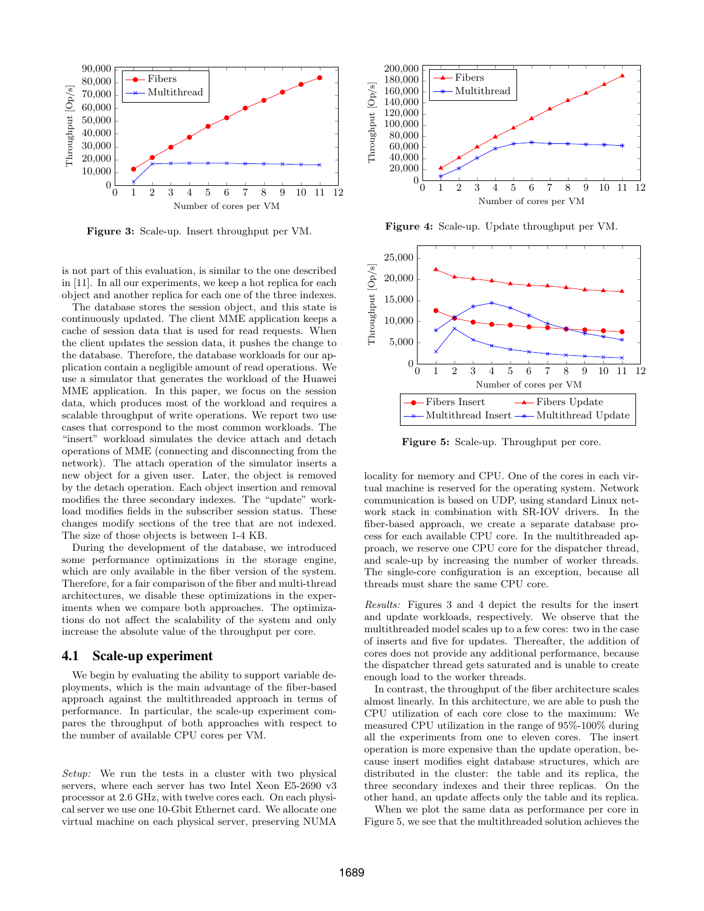

Figure 3: Scale-up. Insert throughput per VM.

is not part of this evaluation, is similar to the one described in [11]. In all our experiments, we keep a hot replica for each object and another replica for each one of the three indexes.

The database stores the session object, and this state is continuously updated. The client MME application keeps a cache of session data that is used for read requests. When the client updates the session data, it pushes the change to the database. Therefore, the database workloads for our application contain a negligible amount of read operations. We use a simulator that generates the workload of the Huawei MME application. In this paper, we focus on the session data, which produces most of the workload and requires a scalable throughput of write operations. We report two use cases that correspond to the most common workloads. The "insert" workload simulates the device attach and detach operations of MME (connecting and disconnecting from the network). The attach operation of the simulator inserts a new object for a given user. Later, the object is removed by the detach operation. Each object insertion and removal modifies the three secondary indexes. The "update" workload modifies fields in the subscriber session status. These changes modify sections of the tree that are not indexed. The size of those objects is between 1-4 KB.

During the development of the database, we introduced some performance optimizations in the storage engine, which are only available in the fiber version of the system. Therefore, for a fair comparison of the fiber and multi-thread architectures, we disable these optimizations in the experiments when we compare both approaches. The optimizations do not affect the scalability of the system and only increase the absolute value of the throughput per core.

#### 4.1 Scale-up experiment

We begin by evaluating the ability to support variable deployments, which is the main advantage of the fiber-based approach against the multithreaded approach in terms of performance. In particular, the scale-up experiment compares the throughput of both approaches with respect to the number of available CPU cores per VM.

Setup: We run the tests in a cluster with two physical servers, where each server has two Intel Xeon E5-2690 v3 processor at 2.6 GHz, with twelve cores each. On each physical server we use one 10-Gbit Ethernet card. We allocate one virtual machine on each physical server, preserving NUMA



Figure 4: Scale-up. Update throughput per VM.



Figure 5: Scale-up. Throughput per core.

locality for memory and CPU. One of the cores in each virtual machine is reserved for the operating system. Network communication is based on UDP, using standard Linux network stack in combination with SR-IOV drivers. In the fiber-based approach, we create a separate database process for each available CPU core. In the multithreaded approach, we reserve one CPU core for the dispatcher thread, and scale-up by increasing the number of worker threads. The single-core configuration is an exception, because all threads must share the same CPU core.

Results: Figures 3 and 4 depict the results for the insert and update workloads, respectively. We observe that the multithreaded model scales up to a few cores: two in the case of inserts and five for updates. Thereafter, the addition of cores does not provide any additional performance, because the dispatcher thread gets saturated and is unable to create enough load to the worker threads.

In contrast, the throughput of the fiber architecture scales almost linearly. In this architecture, we are able to push the CPU utilization of each core close to the maximum: We measured CPU utilization in the range of 95%-100% during all the experiments from one to eleven cores. The insert operation is more expensive than the update operation, because insert modifies eight database structures, which are distributed in the cluster: the table and its replica, the three secondary indexes and their three replicas. On the other hand, an update affects only the table and its replica.

When we plot the same data as performance per core in Figure 5, we see that the multithreaded solution achieves the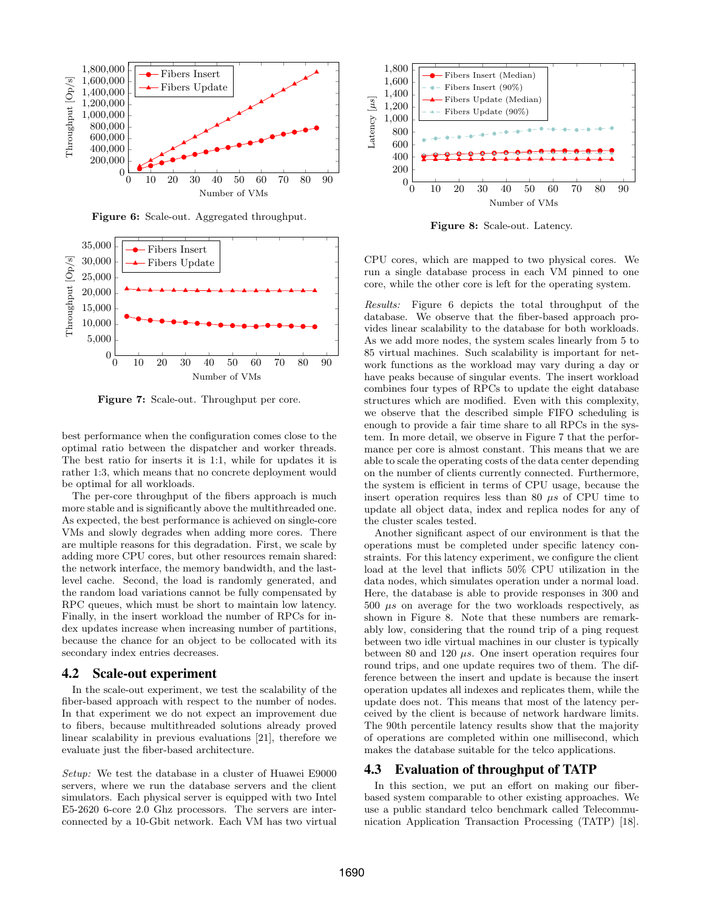

Figure 6: Scale-out. Aggregated throughput.



Figure 7: Scale-out. Throughput per core.

best performance when the configuration comes close to the optimal ratio between the dispatcher and worker threads. The best ratio for inserts it is 1:1, while for updates it is rather 1:3, which means that no concrete deployment would be optimal for all workloads.

The per-core throughput of the fibers approach is much more stable and is significantly above the multithreaded one. As expected, the best performance is achieved on single-core VMs and slowly degrades when adding more cores. There are multiple reasons for this degradation. First, we scale by adding more CPU cores, but other resources remain shared: the network interface, the memory bandwidth, and the lastlevel cache. Second, the load is randomly generated, and the random load variations cannot be fully compensated by RPC queues, which must be short to maintain low latency. Finally, in the insert workload the number of RPCs for index updates increase when increasing number of partitions, because the chance for an object to be collocated with its secondary index entries decreases.

#### 4.2 Scale-out experiment

In the scale-out experiment, we test the scalability of the fiber-based approach with respect to the number of nodes. In that experiment we do not expect an improvement due to fibers, because multithreaded solutions already proved linear scalability in previous evaluations [21], therefore we evaluate just the fiber-based architecture.

Setup: We test the database in a cluster of Huawei E9000 servers, where we run the database servers and the client simulators. Each physical server is equipped with two Intel E5-2620 6-core 2.0 Ghz processors. The servers are interconnected by a 10-Gbit network. Each VM has two virtual



Figure 8: Scale-out. Latency.

CPU cores, which are mapped to two physical cores. We run a single database process in each VM pinned to one core, while the other core is left for the operating system.

Results: Figure 6 depicts the total throughput of the database. We observe that the fiber-based approach provides linear scalability to the database for both workloads. As we add more nodes, the system scales linearly from 5 to 85 virtual machines. Such scalability is important for network functions as the workload may vary during a day or have peaks because of singular events. The insert workload combines four types of RPCs to update the eight database structures which are modified. Even with this complexity, we observe that the described simple FIFO scheduling is enough to provide a fair time share to all RPCs in the system. In more detail, we observe in Figure 7 that the performance per core is almost constant. This means that we are able to scale the operating costs of the data center depending on the number of clients currently connected. Furthermore, the system is efficient in terms of CPU usage, because the insert operation requires less than 80  $\mu$ s of CPU time to update all object data, index and replica nodes for any of the cluster scales tested.

Another significant aspect of our environment is that the operations must be completed under specific latency constraints. For this latency experiment, we configure the client load at the level that inflicts 50% CPU utilization in the data nodes, which simulates operation under a normal load. Here, the database is able to provide responses in 300 and  $500 \mu s$  on average for the two workloads respectively, as shown in Figure 8. Note that these numbers are remarkably low, considering that the round trip of a ping request between two idle virtual machines in our cluster is typically between 80 and 120  $\mu s$ . One insert operation requires four round trips, and one update requires two of them. The difference between the insert and update is because the insert operation updates all indexes and replicates them, while the update does not. This means that most of the latency perceived by the client is because of network hardware limits. The 90th percentile latency results show that the majority of operations are completed within one millisecond, which makes the database suitable for the telco applications.

### 4.3 Evaluation of throughput of TATP

In this section, we put an effort on making our fiberbased system comparable to other existing approaches. We use a public standard telco benchmark called Telecommunication Application Transaction Processing (TATP) [18].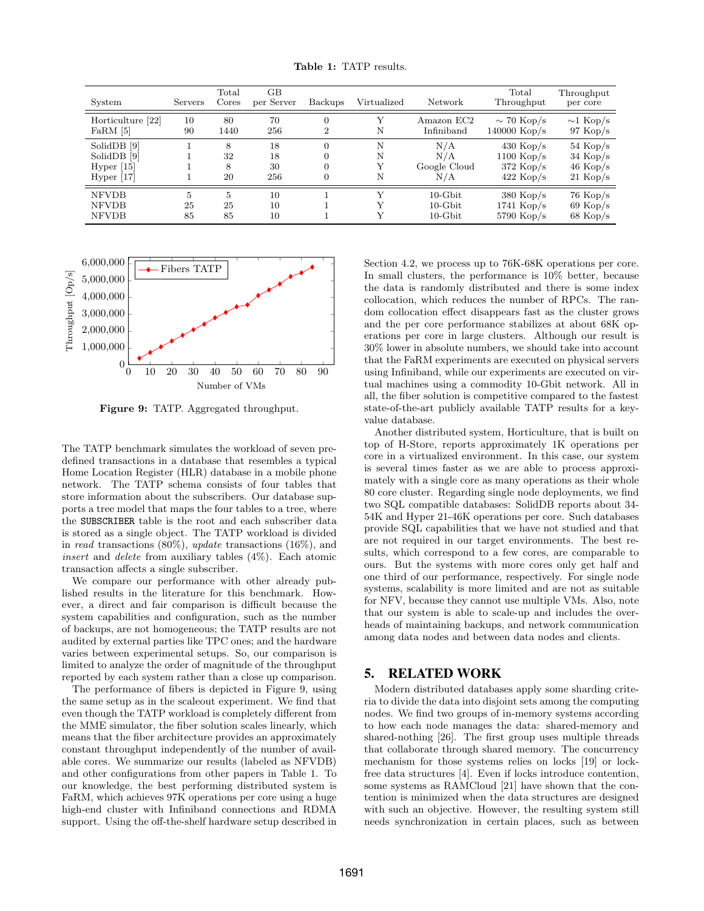|  |  |  | <b>Table 1:</b> TATP results. |
|--|--|--|-------------------------------|
|--|--|--|-------------------------------|

| System                                       | Servers       | Total<br>Cores             | GВ<br>per Server | Backups        | Virtualized | Network                                | Total<br>Throughput                         | Throughput<br>per core                          |
|----------------------------------------------|---------------|----------------------------|------------------|----------------|-------------|----------------------------------------|---------------------------------------------|-------------------------------------------------|
| Horticulture [22]                            | 10            | 80                         | 70               | $\overline{0}$ | N           | Amazon EC2                             | $\sim$ 70 Kop/s                             | $\sim$ 1 Kop/s                                  |
| $FaRM$ [5]                                   | 90            | 1440                       | 256              | $\overline{2}$ |             | Infiniband                             | $140000$ Kop/s                              | $97~\mathrm{Kop/s}$                             |
| SolidDB [9]                                  |               | 8                          | 18               | $\overline{0}$ | N           | N/A                                    | $430$ Kop/s                                 | $54~\mathrm{Kop/s}$                             |
| SolidDB [9]                                  |               | 32                         | 18               | $\overline{0}$ | N           | N/A                                    | $1100$ Kop/s                                | $34 \text{ Kop/s}$                              |
| Hyper $[15]$                                 |               | 8                          | 30               | 0              | Y           | Google Cloud                           | $372$ Kop/s                                 | $46$ Kop/s                                      |
| Hyper $[17]$                                 |               | 20                         | 256              | 0              | N           | N/A                                    | $422$ Kop/s                                 | $21 \text{ Kop/s}$                              |
| <b>NFVDB</b><br><b>NFVDB</b><br><b>NFVDB</b> | 5<br>25<br>85 | $\overline{5}$<br>25<br>85 | 10<br>10<br>10   |                | V           | $10$ -Gbit<br>$10$ -Gbit<br>$10$ -Gbit | $380$ Kop/s<br>$1741$ Kop/s<br>$5790$ Kop/s | $76~\mathrm{Kop/s}$<br>$69$ Kop/s<br>$68$ Kop/s |



Figure 9: TATP. Aggregated throughput.

The TATP benchmark simulates the workload of seven predefined transactions in a database that resembles a typical Home Location Register (HLR) database in a mobile phone network. The TATP schema consists of four tables that store information about the subscribers. Our database supports a tree model that maps the four tables to a tree, where the SUBSCRIBER table is the root and each subscriber data is stored as a single object. The TATP workload is divided in read transactions (80%), update transactions (16%), and *insert* and *delete* from auxiliary tables  $(4\%)$ . Each atomic transaction affects a single subscriber.

We compare our performance with other already published results in the literature for this benchmark. However, a direct and fair comparison is difficult because the system capabilities and configuration, such as the number of backups, are not homogeneous; the TATP results are not audited by external parties like TPC ones; and the hardware varies between experimental setups. So, our comparison is limited to analyze the order of magnitude of the throughput reported by each system rather than a close up comparison.

The performance of fibers is depicted in Figure 9, using the same setup as in the scaleout experiment. We find that even though the TATP workload is completely different from the MME simulator, the fiber solution scales linearly, which means that the fiber architecture provides an approximately constant throughput independently of the number of available cores. We summarize our results (labeled as NFVDB) and other configurations from other papers in Table 1. To our knowledge, the best performing distributed system is FaRM, which achieves 97K operations per core using a huge high-end cluster with Infiniband connections and RDMA support. Using the off-the-shelf hardware setup described in Section 4.2, we process up to 76K-68K operations per core. In small clusters, the performance is 10% better, because the data is randomly distributed and there is some index collocation, which reduces the number of RPCs. The random collocation effect disappears fast as the cluster grows and the per core performance stabilizes at about 68K operations per core in large clusters. Although our result is 30% lower in absolute numbers, we should take into account that the FaRM experiments are executed on physical servers using Infiniband, while our experiments are executed on virtual machines using a commodity 10-Gbit network. All in all, the fiber solution is competitive compared to the fastest state-of-the-art publicly available TATP results for a keyvalue database.

Another distributed system, Horticulture, that is built on top of H-Store, reports approximately 1K operations per core in a virtualized environment. In this case, our system is several times faster as we are able to process approximately with a single core as many operations as their whole 80 core cluster. Regarding single node deployments, we find two SQL compatible databases: SolidDB reports about 34- 54K and Hyper 21-46K operations per core. Such databases provide SQL capabilities that we have not studied and that are not required in our target environments. The best results, which correspond to a few cores, are comparable to ours. But the systems with more cores only get half and one third of our performance, respectively. For single node systems, scalability is more limited and are not as suitable for NFV, because they cannot use multiple VMs. Also, note that our system is able to scale-up and includes the overheads of maintaining backups, and network communication among data nodes and between data nodes and clients.

# 5. RELATED WORK

Modern distributed databases apply some sharding criteria to divide the data into disjoint sets among the computing nodes. We find two groups of in-memory systems according to how each node manages the data: shared-memory and shared-nothing [26]. The first group uses multiple threads that collaborate through shared memory. The concurrency mechanism for those systems relies on locks [19] or lockfree data structures [4]. Even if locks introduce contention, some systems as RAMCloud [21] have shown that the contention is minimized when the data structures are designed with such an objective. However, the resulting system still needs synchronization in certain places, such as between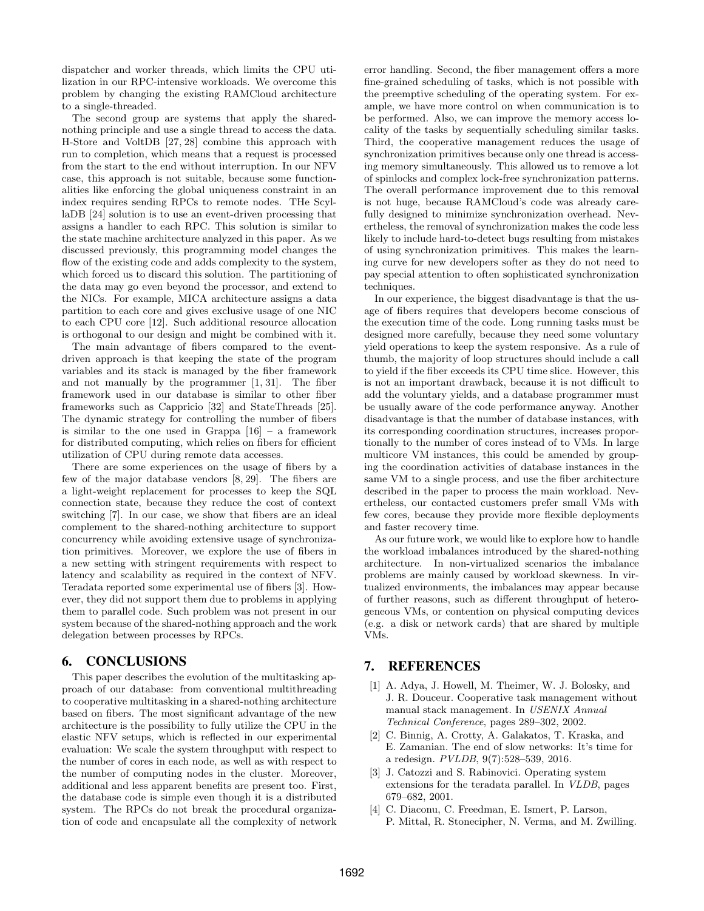dispatcher and worker threads, which limits the CPU utilization in our RPC-intensive workloads. We overcome this problem by changing the existing RAMCloud architecture to a single-threaded.

The second group are systems that apply the sharednothing principle and use a single thread to access the data. H-Store and VoltDB [27, 28] combine this approach with run to completion, which means that a request is processed from the start to the end without interruption. In our NFV case, this approach is not suitable, because some functionalities like enforcing the global uniqueness constraint in an index requires sending RPCs to remote nodes. THe ScyllaDB [24] solution is to use an event-driven processing that assigns a handler to each RPC. This solution is similar to the state machine architecture analyzed in this paper. As we discussed previously, this programming model changes the flow of the existing code and adds complexity to the system, which forced us to discard this solution. The partitioning of the data may go even beyond the processor, and extend to the NICs. For example, MICA architecture assigns a data partition to each core and gives exclusive usage of one NIC to each CPU core [12]. Such additional resource allocation is orthogonal to our design and might be combined with it.

The main advantage of fibers compared to the eventdriven approach is that keeping the state of the program variables and its stack is managed by the fiber framework and not manually by the programmer [1, 31]. The fiber framework used in our database is similar to other fiber frameworks such as Cappricio [32] and StateThreads [25]. The dynamic strategy for controlling the number of fibers is similar to the one used in Grappa  $[16]$  – a framework for distributed computing, which relies on fibers for efficient utilization of CPU during remote data accesses.

There are some experiences on the usage of fibers by a few of the major database vendors [8, 29]. The fibers are a light-weight replacement for processes to keep the SQL connection state, because they reduce the cost of context switching [7]. In our case, we show that fibers are an ideal complement to the shared-nothing architecture to support concurrency while avoiding extensive usage of synchronization primitives. Moreover, we explore the use of fibers in a new setting with stringent requirements with respect to latency and scalability as required in the context of NFV. Teradata reported some experimental use of fibers [3]. However, they did not support them due to problems in applying them to parallel code. Such problem was not present in our system because of the shared-nothing approach and the work delegation between processes by RPCs.

# 6. CONCLUSIONS

This paper describes the evolution of the multitasking approach of our database: from conventional multithreading to cooperative multitasking in a shared-nothing architecture based on fibers. The most significant advantage of the new architecture is the possibility to fully utilize the CPU in the elastic NFV setups, which is reflected in our experimental evaluation: We scale the system throughput with respect to the number of cores in each node, as well as with respect to the number of computing nodes in the cluster. Moreover, additional and less apparent benefits are present too. First, the database code is simple even though it is a distributed system. The RPCs do not break the procedural organization of code and encapsulate all the complexity of network

error handling. Second, the fiber management offers a more fine-grained scheduling of tasks, which is not possible with the preemptive scheduling of the operating system. For example, we have more control on when communication is to be performed. Also, we can improve the memory access locality of the tasks by sequentially scheduling similar tasks. Third, the cooperative management reduces the usage of synchronization primitives because only one thread is accessing memory simultaneously. This allowed us to remove a lot of spinlocks and complex lock-free synchronization patterns. The overall performance improvement due to this removal is not huge, because RAMCloud's code was already carefully designed to minimize synchronization overhead. Nevertheless, the removal of synchronization makes the code less likely to include hard-to-detect bugs resulting from mistakes of using synchronization primitives. This makes the learning curve for new developers softer as they do not need to pay special attention to often sophisticated synchronization techniques.

In our experience, the biggest disadvantage is that the usage of fibers requires that developers become conscious of the execution time of the code. Long running tasks must be designed more carefully, because they need some voluntary yield operations to keep the system responsive. As a rule of thumb, the majority of loop structures should include a call to yield if the fiber exceeds its CPU time slice. However, this is not an important drawback, because it is not difficult to add the voluntary yields, and a database programmer must be usually aware of the code performance anyway. Another disadvantage is that the number of database instances, with its corresponding coordination structures, increases proportionally to the number of cores instead of to VMs. In large multicore VM instances, this could be amended by grouping the coordination activities of database instances in the same VM to a single process, and use the fiber architecture described in the paper to process the main workload. Nevertheless, our contacted customers prefer small VMs with few cores, because they provide more flexible deployments and faster recovery time.

As our future work, we would like to explore how to handle the workload imbalances introduced by the shared-nothing architecture. In non-virtualized scenarios the imbalance problems are mainly caused by workload skewness. In virtualized environments, the imbalances may appear because of further reasons, such as different throughput of heterogeneous VMs, or contention on physical computing devices (e.g. a disk or network cards) that are shared by multiple VMs.

# 7. REFERENCES

- [1] A. Adya, J. Howell, M. Theimer, W. J. Bolosky, and J. R. Douceur. Cooperative task management without manual stack management. In USENIX Annual Technical Conference, pages 289–302, 2002.
- [2] C. Binnig, A. Crotty, A. Galakatos, T. Kraska, and E. Zamanian. The end of slow networks: It's time for a redesign. PVLDB, 9(7):528–539, 2016.
- [3] J. Catozzi and S. Rabinovici. Operating system extensions for the teradata parallel. In VLDB, pages 679–682, 2001.
- [4] C. Diaconu, C. Freedman, E. Ismert, P. Larson, P. Mittal, R. Stonecipher, N. Verma, and M. Zwilling.